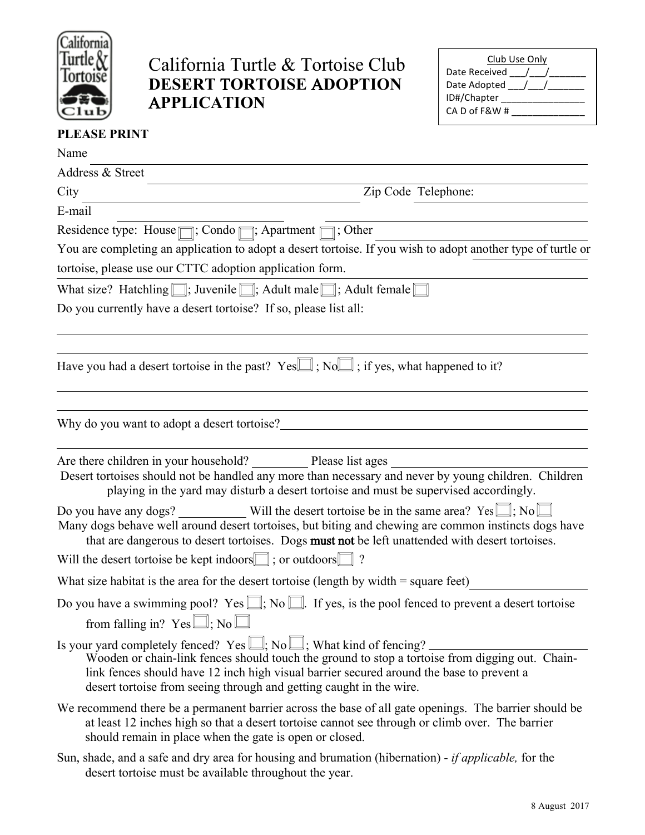

## California Turtle & Tortoise Club **DESERT** T**ORTOISE** A**DOPTION** A**PPLICATION**

| Club Use Only   |
|-----------------|
| Date Received / |
| Date Adopted /  |
| ID#/Chapter     |
| CA D of F&W #   |
|                 |

## **PLEASE PRINT**

| Name                                                                                                                                                                                                                                                                                                                                                 |  |
|------------------------------------------------------------------------------------------------------------------------------------------------------------------------------------------------------------------------------------------------------------------------------------------------------------------------------------------------------|--|
| Address & Street                                                                                                                                                                                                                                                                                                                                     |  |
| Zip Code Telephone:<br>City                                                                                                                                                                                                                                                                                                                          |  |
| E-mail                                                                                                                                                                                                                                                                                                                                               |  |
| Residence type: House $\Box$ ; Condo $\Box$ ; Apartment $\Box$ ; Other                                                                                                                                                                                                                                                                               |  |
| You are completing an application to adopt a desert tortoise. If you wish to adopt another type of turtle or                                                                                                                                                                                                                                         |  |
| tortoise, please use our CTTC adoption application form.                                                                                                                                                                                                                                                                                             |  |
| What size? Hatchling $\Box$ ; Juvenile $\Box$ ; Adult male $\Box$ ; Adult female $\Box$                                                                                                                                                                                                                                                              |  |
| Do you currently have a desert tortoise? If so, please list all:                                                                                                                                                                                                                                                                                     |  |
| Have you had a desert tortoise in the past? Yes $\Box$ ; No $\Box$ ; if yes, what happened to it?                                                                                                                                                                                                                                                    |  |
| Why do you want to adopt a desert tortoise?                                                                                                                                                                                                                                                                                                          |  |
| Are there children in your household? Please list ages<br>Desert tortoises should not be handled any more than necessary and never by young children. Children<br>playing in the yard may disturb a desert tortoise and must be supervised accordingly.                                                                                              |  |
| Many dogs behave well around desert tortoises, but biting and chewing are common instincts dogs have<br>that are dangerous to desert tortoises. Dogs must not be left unattended with desert tortoises.                                                                                                                                              |  |
| Will the desert tortoise be kept indoors $\Box$ ; or outdoors $\Box$ ?                                                                                                                                                                                                                                                                               |  |
| What size habitat is the area for the desert tortoise (length by width $=$ square feet)                                                                                                                                                                                                                                                              |  |
| Do you have a swimming pool? Yes $\Box$ ; No $\Box$ . If yes, is the pool fenced to prevent a desert tortoise                                                                                                                                                                                                                                        |  |
| from falling in? $Yes \square; No \square$                                                                                                                                                                                                                                                                                                           |  |
| Is your yard completely fenced? Yes $\Box$ ; No $\Box$ ; What kind of fencing?<br>Wooden or chain-link fences should touch the ground to stop a tortoise from digging out. Chain-<br>link fences should have 12 inch high visual barrier secured around the base to prevent a<br>desert tortoise from seeing through and getting caught in the wire. |  |
| We recommend there be a permanent barrier across the base of all gate openings. The barrier should be<br>at least 12 inches high so that a desert tortoise cannot see through or climb over. The barrier<br>should remain in place when the gate is open or closed.                                                                                  |  |
| Sun, shade, and a safe and dry area for housing and brumation (hibernation) $\frac{1}{2}$ <i>if applicable</i> for the                                                                                                                                                                                                                               |  |

Sun, shade, and a safe and dry area for housing and brumation (hibernation) - *if applicable,* for the desert tortoise must be available throughout the year.